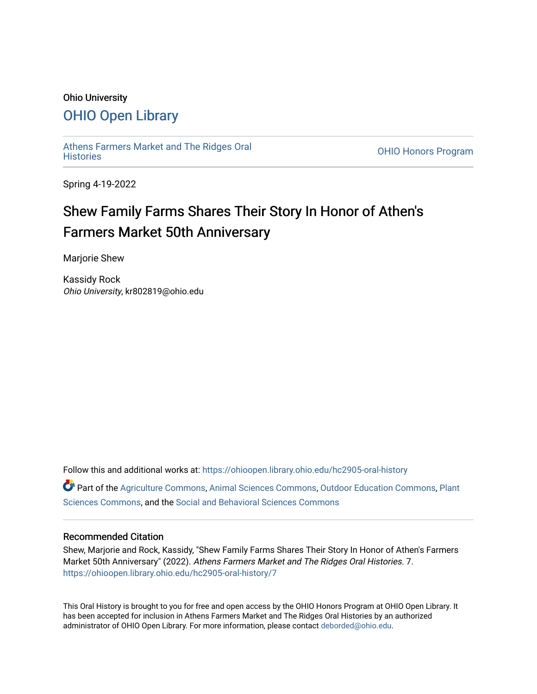#### Ohio University

## [OHIO Open Library](https://ohioopen.library.ohio.edu/)

[Athens Farmers Market and The Ridges Oral](https://ohioopen.library.ohio.edu/hc2905-oral-history)

OHIO Honors Program

Spring 4-19-2022

# Shew Family Farms Shares Their Story In Honor of Athen's Farmers Market 50th Anniversary

Marjorie Shew

Kassidy Rock Ohio University, kr802819@ohio.edu

Follow this and additional works at: [https://ohioopen.library.ohio.edu/hc2905-oral-history](https://ohioopen.library.ohio.edu/hc2905-oral-history?utm_source=ohioopen.library.ohio.edu%2Fhc2905-oral-history%2F7&utm_medium=PDF&utm_campaign=PDFCoverPages)  Part of the [Agriculture Commons](http://network.bepress.com/hgg/discipline/1076?utm_source=ohioopen.library.ohio.edu%2Fhc2905-oral-history%2F7&utm_medium=PDF&utm_campaign=PDFCoverPages), [Animal Sciences Commons](http://network.bepress.com/hgg/discipline/76?utm_source=ohioopen.library.ohio.edu%2Fhc2905-oral-history%2F7&utm_medium=PDF&utm_campaign=PDFCoverPages), [Outdoor Education Commons,](http://network.bepress.com/hgg/discipline/1381?utm_source=ohioopen.library.ohio.edu%2Fhc2905-oral-history%2F7&utm_medium=PDF&utm_campaign=PDFCoverPages) [Plant](http://network.bepress.com/hgg/discipline/102?utm_source=ohioopen.library.ohio.edu%2Fhc2905-oral-history%2F7&utm_medium=PDF&utm_campaign=PDFCoverPages) [Sciences Commons,](http://network.bepress.com/hgg/discipline/102?utm_source=ohioopen.library.ohio.edu%2Fhc2905-oral-history%2F7&utm_medium=PDF&utm_campaign=PDFCoverPages) and the [Social and Behavioral Sciences Commons](http://network.bepress.com/hgg/discipline/316?utm_source=ohioopen.library.ohio.edu%2Fhc2905-oral-history%2F7&utm_medium=PDF&utm_campaign=PDFCoverPages) 

#### Recommended Citation

Shew, Marjorie and Rock, Kassidy, "Shew Family Farms Shares Their Story In Honor of Athen's Farmers Market 50th Anniversary" (2022). Athens Farmers Market and The Ridges Oral Histories. 7. [https://ohioopen.library.ohio.edu/hc2905-oral-history/7](https://ohioopen.library.ohio.edu/hc2905-oral-history/7?utm_source=ohioopen.library.ohio.edu%2Fhc2905-oral-history%2F7&utm_medium=PDF&utm_campaign=PDFCoverPages) 

This Oral History is brought to you for free and open access by the OHIO Honors Program at OHIO Open Library. It has been accepted for inclusion in Athens Farmers Market and The Ridges Oral Histories by an authorized administrator of OHIO Open Library. For more information, please contact [deborded@ohio.edu.](mailto:deborded@ohio.edu)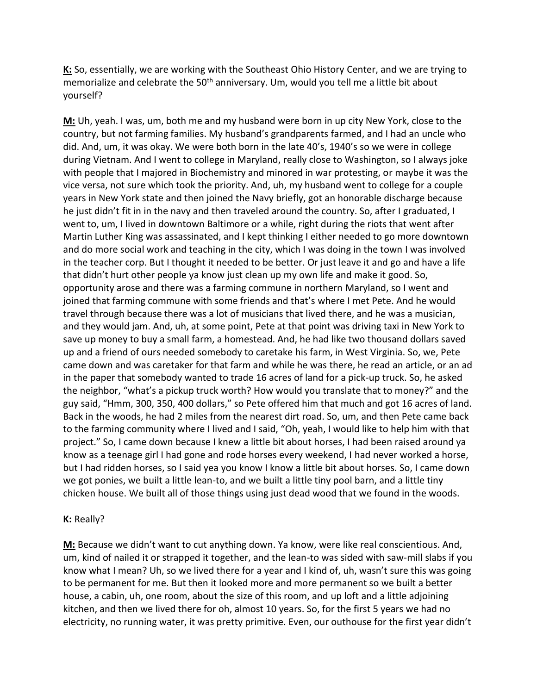**K:** So, essentially, we are working with the Southeast Ohio History Center, and we are trying to memorialize and celebrate the 50<sup>th</sup> anniversary. Um, would you tell me a little bit about yourself?

**M:** Uh, yeah. I was, um, both me and my husband were born in up city New York, close to the country, but not farming families. My husband's grandparents farmed, and I had an uncle who did. And, um, it was okay. We were both born in the late 40's, 1940's so we were in college during Vietnam. And I went to college in Maryland, really close to Washington, so I always joke with people that I majored in Biochemistry and minored in war protesting, or maybe it was the vice versa, not sure which took the priority. And, uh, my husband went to college for a couple years in New York state and then joined the Navy briefly, got an honorable discharge because he just didn't fit in in the navy and then traveled around the country. So, after I graduated, I went to, um, I lived in downtown Baltimore or a while, right during the riots that went after Martin Luther King was assassinated, and I kept thinking I either needed to go more downtown and do more social work and teaching in the city, which I was doing in the town I was involved in the teacher corp. But I thought it needed to be better. Or just leave it and go and have a life that didn't hurt other people ya know just clean up my own life and make it good. So, opportunity arose and there was a farming commune in northern Maryland, so I went and joined that farming commune with some friends and that's where I met Pete. And he would travel through because there was a lot of musicians that lived there, and he was a musician, and they would jam. And, uh, at some point, Pete at that point was driving taxi in New York to save up money to buy a small farm, a homestead. And, he had like two thousand dollars saved up and a friend of ours needed somebody to caretake his farm, in West Virginia. So, we, Pete came down and was caretaker for that farm and while he was there, he read an article, or an ad in the paper that somebody wanted to trade 16 acres of land for a pick-up truck. So, he asked the neighbor, "what's a pickup truck worth? How would you translate that to money?" and the guy said, "Hmm, 300, 350, 400 dollars," so Pete offered him that much and got 16 acres of land. Back in the woods, he had 2 miles from the nearest dirt road. So, um, and then Pete came back to the farming community where I lived and I said, "Oh, yeah, I would like to help him with that project." So, I came down because I knew a little bit about horses, I had been raised around ya know as a teenage girl I had gone and rode horses every weekend, I had never worked a horse, but I had ridden horses, so I said yea you know I know a little bit about horses. So, I came down we got ponies, we built a little lean-to, and we built a little tiny pool barn, and a little tiny chicken house. We built all of those things using just dead wood that we found in the woods.

#### **K:** Really?

**M:** Because we didn't want to cut anything down. Ya know, were like real conscientious. And, um, kind of nailed it or strapped it together, and the lean-to was sided with saw-mill slabs if you know what I mean? Uh, so we lived there for a year and I kind of, uh, wasn't sure this was going to be permanent for me. But then it looked more and more permanent so we built a better house, a cabin, uh, one room, about the size of this room, and up loft and a little adjoining kitchen, and then we lived there for oh, almost 10 years. So, for the first 5 years we had no electricity, no running water, it was pretty primitive. Even, our outhouse for the first year didn't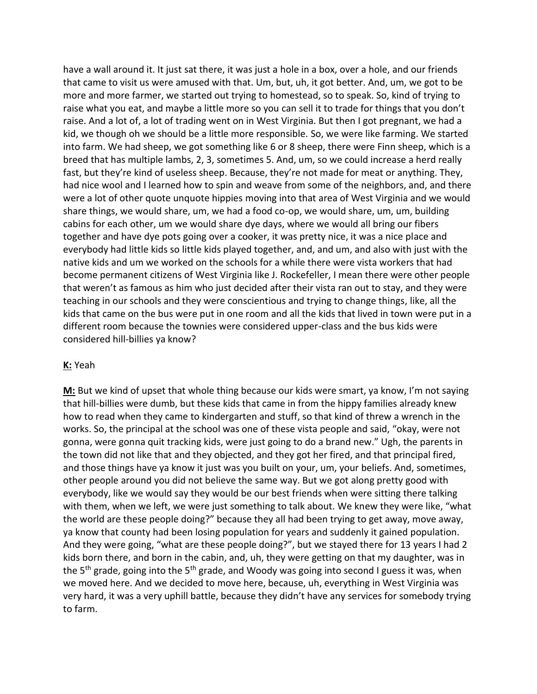have a wall around it. It just sat there, it was just a hole in a box, over a hole, and our friends that came to visit us were amused with that. Um, but, uh, it got better. And, um, we got to be more and more farmer, we started out trying to homestead, so to speak. So, kind of trying to raise what you eat, and maybe a little more so you can sell it to trade for things that you don't raise. And a lot of, a lot of trading went on in West Virginia. But then I got pregnant, we had a kid, we though oh we should be a little more responsible. So, we were like farming. We started into farm. We had sheep, we got something like 6 or 8 sheep, there were Finn sheep, which is a breed that has multiple lambs, 2, 3, sometimes 5. And, um, so we could increase a herd really fast, but they're kind of useless sheep. Because, they're not made for meat or anything. They, had nice wool and I learned how to spin and weave from some of the neighbors, and, and there were a lot of other quote unquote hippies moving into that area of West Virginia and we would share things, we would share, um, we had a food co-op, we would share, um, um, building cabins for each other, um we would share dye days, where we would all bring our fibers together and have dye pots going over a cooker, it was pretty nice, it was a nice place and everybody had little kids so little kids played together, and, and um, and also with just with the native kids and um we worked on the schools for a while there were vista workers that had become permanent citizens of West Virginia like J. Rockefeller, I mean there were other people that weren't as famous as him who just decided after their vista ran out to stay, and they were teaching in our schools and they were conscientious and trying to change things, like, all the kids that came on the bus were put in one room and all the kids that lived in town were put in a different room because the townies were considered upper-class and the bus kids were considered hill-billies ya know?

#### **K:** Yeah

**M:** But we kind of upset that whole thing because our kids were smart, ya know, I'm not saying that hill-billies were dumb, but these kids that came in from the hippy families already knew how to read when they came to kindergarten and stuff, so that kind of threw a wrench in the works. So, the principal at the school was one of these vista people and said, "okay, were not gonna, were gonna quit tracking kids, were just going to do a brand new." Ugh, the parents in the town did not like that and they objected, and they got her fired, and that principal fired, and those things have ya know it just was you built on your, um, your beliefs. And, sometimes, other people around you did not believe the same way. But we got along pretty good with everybody, like we would say they would be our best friends when were sitting there talking with them, when we left, we were just something to talk about. We knew they were like, "what the world are these people doing?" because they all had been trying to get away, move away, ya know that county had been losing population for years and suddenly it gained population. And they were going, "what are these people doing?", but we stayed there for 13 years I had 2 kids born there, and born in the cabin, and, uh, they were getting on that my daughter, was in the 5<sup>th</sup> grade, going into the 5<sup>th</sup> grade, and Woody was going into second I guess it was, when we moved here. And we decided to move here, because, uh, everything in West Virginia was very hard, it was a very uphill battle, because they didn't have any services for somebody trying to farm.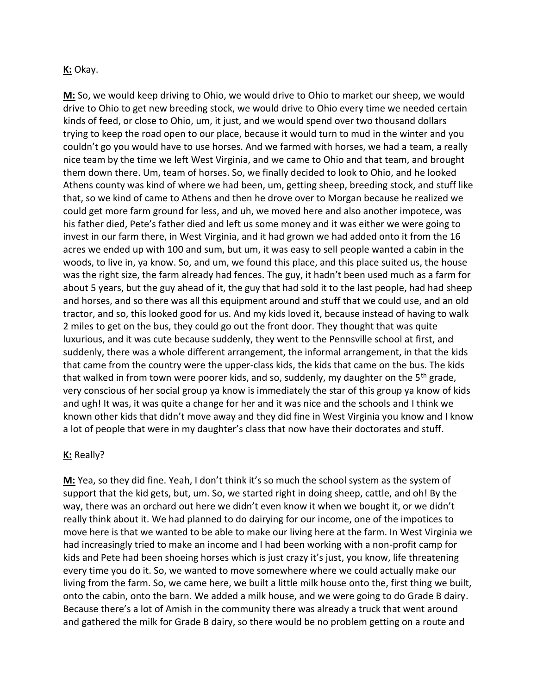#### **K:** Okay.

**M:** So, we would keep driving to Ohio, we would drive to Ohio to market our sheep, we would drive to Ohio to get new breeding stock, we would drive to Ohio every time we needed certain kinds of feed, or close to Ohio, um, it just, and we would spend over two thousand dollars trying to keep the road open to our place, because it would turn to mud in the winter and you couldn't go you would have to use horses. And we farmed with horses, we had a team, a really nice team by the time we left West Virginia, and we came to Ohio and that team, and brought them down there. Um, team of horses. So, we finally decided to look to Ohio, and he looked Athens county was kind of where we had been, um, getting sheep, breeding stock, and stuff like that, so we kind of came to Athens and then he drove over to Morgan because he realized we could get more farm ground for less, and uh, we moved here and also another impotece, was his father died, Pete's father died and left us some money and it was either we were going to invest in our farm there, in West Virginia, and it had grown we had added onto it from the 16 acres we ended up with 100 and sum, but um, it was easy to sell people wanted a cabin in the woods, to live in, ya know. So, and um, we found this place, and this place suited us, the house was the right size, the farm already had fences. The guy, it hadn't been used much as a farm for about 5 years, but the guy ahead of it, the guy that had sold it to the last people, had had sheep and horses, and so there was all this equipment around and stuff that we could use, and an old tractor, and so, this looked good for us. And my kids loved it, because instead of having to walk 2 miles to get on the bus, they could go out the front door. They thought that was quite luxurious, and it was cute because suddenly, they went to the Pennsville school at first, and suddenly, there was a whole different arrangement, the informal arrangement, in that the kids that came from the country were the upper-class kids, the kids that came on the bus. The kids that walked in from town were poorer kids, and so, suddenly, my daughter on the  $5<sup>th</sup>$  grade, very conscious of her social group ya know is immediately the star of this group ya know of kids and ugh! It was, it was quite a change for her and it was nice and the schools and I think we known other kids that didn't move away and they did fine in West Virginia you know and I know a lot of people that were in my daughter's class that now have their doctorates and stuff.

#### **K:** Really?

**M:** Yea, so they did fine. Yeah, I don't think it's so much the school system as the system of support that the kid gets, but, um. So, we started right in doing sheep, cattle, and oh! By the way, there was an orchard out here we didn't even know it when we bought it, or we didn't really think about it. We had planned to do dairying for our income, one of the impotices to move here is that we wanted to be able to make our living here at the farm. In West Virginia we had increasingly tried to make an income and I had been working with a non-profit camp for kids and Pete had been shoeing horses which is just crazy it's just, you know, life threatening every time you do it. So, we wanted to move somewhere where we could actually make our living from the farm. So, we came here, we built a little milk house onto the, first thing we built, onto the cabin, onto the barn. We added a milk house, and we were going to do Grade B dairy. Because there's a lot of Amish in the community there was already a truck that went around and gathered the milk for Grade B dairy, so there would be no problem getting on a route and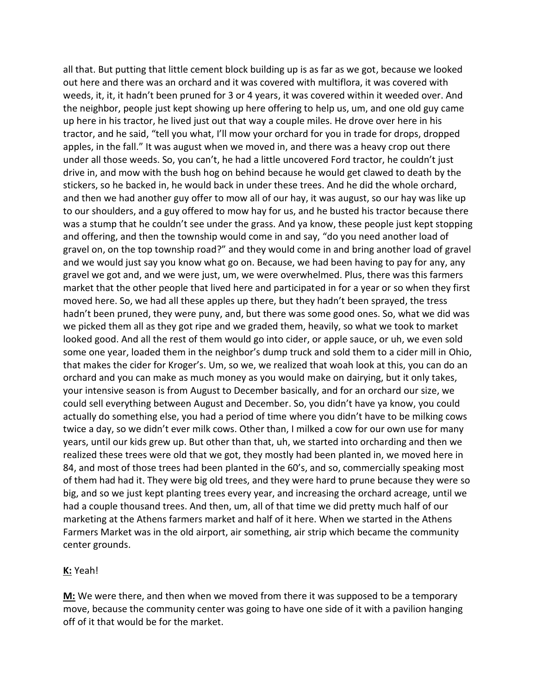all that. But putting that little cement block building up is as far as we got, because we looked out here and there was an orchard and it was covered with multiflora, it was covered with weeds, it, it, it hadn't been pruned for 3 or 4 years, it was covered within it weeded over. And the neighbor, people just kept showing up here offering to help us, um, and one old guy came up here in his tractor, he lived just out that way a couple miles. He drove over here in his tractor, and he said, "tell you what, I'll mow your orchard for you in trade for drops, dropped apples, in the fall." It was august when we moved in, and there was a heavy crop out there under all those weeds. So, you can't, he had a little uncovered Ford tractor, he couldn't just drive in, and mow with the bush hog on behind because he would get clawed to death by the stickers, so he backed in, he would back in under these trees. And he did the whole orchard, and then we had another guy offer to mow all of our hay, it was august, so our hay was like up to our shoulders, and a guy offered to mow hay for us, and he busted his tractor because there was a stump that he couldn't see under the grass. And ya know, these people just kept stopping and offering, and then the township would come in and say, "do you need another load of gravel on, on the top township road?" and they would come in and bring another load of gravel and we would just say you know what go on. Because, we had been having to pay for any, any gravel we got and, and we were just, um, we were overwhelmed. Plus, there was this farmers market that the other people that lived here and participated in for a year or so when they first moved here. So, we had all these apples up there, but they hadn't been sprayed, the tress hadn't been pruned, they were puny, and, but there was some good ones. So, what we did was we picked them all as they got ripe and we graded them, heavily, so what we took to market looked good. And all the rest of them would go into cider, or apple sauce, or uh, we even sold some one year, loaded them in the neighbor's dump truck and sold them to a cider mill in Ohio, that makes the cider for Kroger's. Um, so we, we realized that woah look at this, you can do an orchard and you can make as much money as you would make on dairying, but it only takes, your intensive season is from August to December basically, and for an orchard our size, we could sell everything between August and December. So, you didn't have ya know, you could actually do something else, you had a period of time where you didn't have to be milking cows twice a day, so we didn't ever milk cows. Other than, I milked a cow for our own use for many years, until our kids grew up. But other than that, uh, we started into orcharding and then we realized these trees were old that we got, they mostly had been planted in, we moved here in 84, and most of those trees had been planted in the 60's, and so, commercially speaking most of them had had it. They were big old trees, and they were hard to prune because they were so big, and so we just kept planting trees every year, and increasing the orchard acreage, until we had a couple thousand trees. And then, um, all of that time we did pretty much half of our marketing at the Athens farmers market and half of it here. When we started in the Athens Farmers Market was in the old airport, air something, air strip which became the community center grounds.

#### **K:** Yeah!

**M:** We were there, and then when we moved from there it was supposed to be a temporary move, because the community center was going to have one side of it with a pavilion hanging off of it that would be for the market.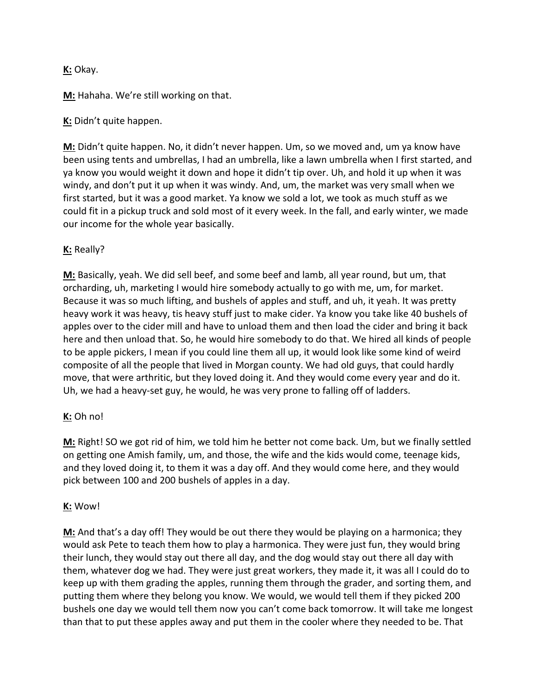## **K:** Okay.

**M:** Hahaha. We're still working on that.

## **K:** Didn't quite happen.

**M:** Didn't quite happen. No, it didn't never happen. Um, so we moved and, um ya know have been using tents and umbrellas, I had an umbrella, like a lawn umbrella when I first started, and ya know you would weight it down and hope it didn't tip over. Uh, and hold it up when it was windy, and don't put it up when it was windy. And, um, the market was very small when we first started, but it was a good market. Ya know we sold a lot, we took as much stuff as we could fit in a pickup truck and sold most of it every week. In the fall, and early winter, we made our income for the whole year basically.

### **K:** Really?

**M:** Basically, yeah. We did sell beef, and some beef and lamb, all year round, but um, that orcharding, uh, marketing I would hire somebody actually to go with me, um, for market. Because it was so much lifting, and bushels of apples and stuff, and uh, it yeah. It was pretty heavy work it was heavy, tis heavy stuff just to make cider. Ya know you take like 40 bushels of apples over to the cider mill and have to unload them and then load the cider and bring it back here and then unload that. So, he would hire somebody to do that. We hired all kinds of people to be apple pickers, I mean if you could line them all up, it would look like some kind of weird composite of all the people that lived in Morgan county. We had old guys, that could hardly move, that were arthritic, but they loved doing it. And they would come every year and do it. Uh, we had a heavy-set guy, he would, he was very prone to falling off of ladders.

## **K:** Oh no!

**M:** Right! SO we got rid of him, we told him he better not come back. Um, but we finally settled on getting one Amish family, um, and those, the wife and the kids would come, teenage kids, and they loved doing it, to them it was a day off. And they would come here, and they would pick between 100 and 200 bushels of apples in a day.

#### **K:** Wow!

**M:** And that's a day off! They would be out there they would be playing on a harmonica; they would ask Pete to teach them how to play a harmonica. They were just fun, they would bring their lunch, they would stay out there all day, and the dog would stay out there all day with them, whatever dog we had. They were just great workers, they made it, it was all I could do to keep up with them grading the apples, running them through the grader, and sorting them, and putting them where they belong you know. We would, we would tell them if they picked 200 bushels one day we would tell them now you can't come back tomorrow. It will take me longest than that to put these apples away and put them in the cooler where they needed to be. That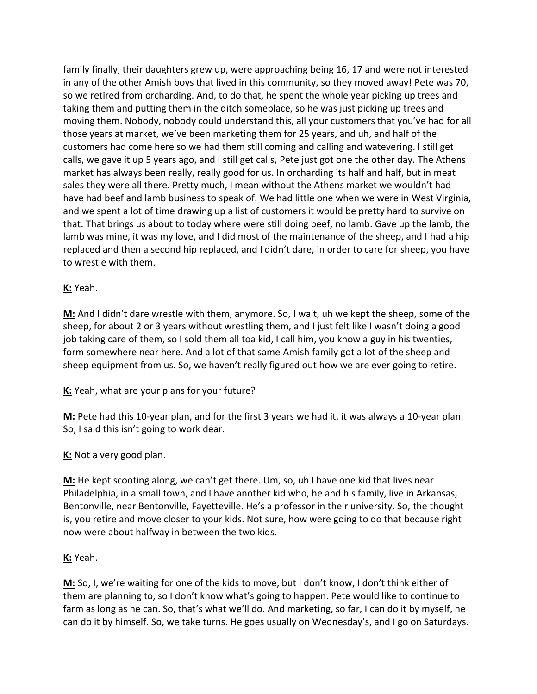family finally, their daughters grew up, were approaching being 16, 17 and were not interested in any of the other Amish boys that lived in this community, so they moved away! Pete was 70, so we retired from orcharding. And, to do that, he spent the whole year picking up trees and taking them and putting them in the ditch someplace, so he was just picking up trees and moving them. Nobody, nobody could understand this, all your customers that you've had for all those years at market, we've been marketing them for 25 years, and uh, and half of the customers had come here so we had them still coming and calling and watevering. I still get calls, we gave it up 5 years ago, and I still get calls, Pete just got one the other day. The Athens market has always been really, really good for us. In orcharding its half and half, but in meat sales they were all there. Pretty much, I mean without the Athens market we wouldn't had have had beef and lamb business to speak of. We had little one when we were in West Virginia, and we spent a lot of time drawing up a list of customers it would be pretty hard to survive on that. That brings us about to today where were still doing beef, no lamb. Gave up the lamb, the lamb was mine, it was my love, and I did most of the maintenance of the sheep, and I had a hip replaced and then a second hip replaced, and I didn't dare, in order to care for sheep, you have to wrestle with them.

#### **K:** Yeah.

**M:** And I didn't dare wrestle with them, anymore. So, I wait, uh we kept the sheep, some of the sheep, for about 2 or 3 years without wrestling them, and I just felt like I wasn't doing a good job taking care of them, so I sold them all toa kid, I call him, you know a guy in his twenties, form somewhere near here. And a lot of that same Amish family got a lot of the sheep and sheep equipment from us. So, we haven't really figured out how we are ever going to retire.

**K:** Yeah, what are your plans for your future?

**M:** Pete had this 10-year plan, and for the first 3 years we had it, it was always a 10-year plan. So, I said this isn't going to work dear.

## **K:** Not a very good plan.

**M:** He kept scooting along, we can't get there. Um, so, uh I have one kid that lives near Philadelphia, in a small town, and I have another kid who, he and his family, live in Arkansas, Bentonville, near Bentonville, Fayetteville. He's a professor in their university. So, the thought is, you retire and move closer to your kids. Not sure, how were going to do that because right now were about halfway in between the two kids.

#### **K:** Yeah.

**M:** So, I, we're waiting for one of the kids to move, but I don't know, I don't think either of them are planning to, so I don't know what's going to happen. Pete would like to continue to farm as long as he can. So, that's what we'll do. And marketing, so far, I can do it by myself, he can do it by himself. So, we take turns. He goes usually on Wednesday's, and I go on Saturdays.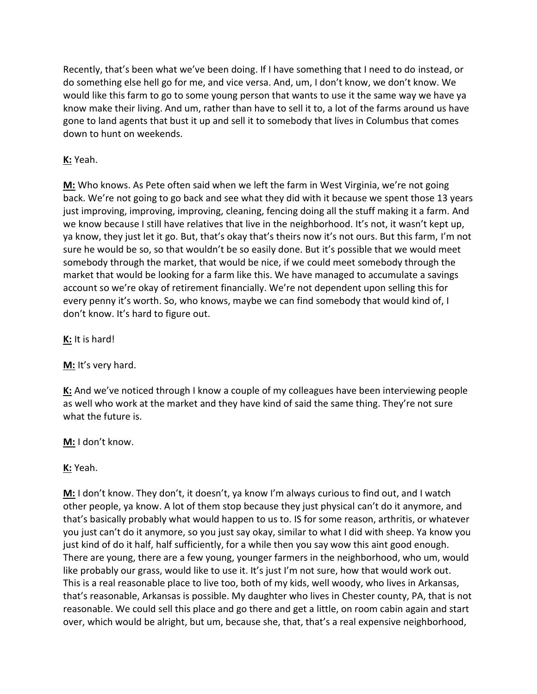Recently, that's been what we've been doing. If I have something that I need to do instead, or do something else hell go for me, and vice versa. And, um, I don't know, we don't know. We would like this farm to go to some young person that wants to use it the same way we have ya know make their living. And um, rather than have to sell it to, a lot of the farms around us have gone to land agents that bust it up and sell it to somebody that lives in Columbus that comes down to hunt on weekends.

## **K:** Yeah.

**M:** Who knows. As Pete often said when we left the farm in West Virginia, we're not going back. We're not going to go back and see what they did with it because we spent those 13 years just improving, improving, improving, cleaning, fencing doing all the stuff making it a farm. And we know because I still have relatives that live in the neighborhood. It's not, it wasn't kept up, ya know, they just let it go. But, that's okay that's theirs now it's not ours. But this farm, I'm not sure he would be so, so that wouldn't be so easily done. But it's possible that we would meet somebody through the market, that would be nice, if we could meet somebody through the market that would be looking for a farm like this. We have managed to accumulate a savings account so we're okay of retirement financially. We're not dependent upon selling this for every penny it's worth. So, who knows, maybe we can find somebody that would kind of, I don't know. It's hard to figure out.

**K:** It is hard!

**M:** It's very hard.

**K:** And we've noticed through I know a couple of my colleagues have been interviewing people as well who work at the market and they have kind of said the same thing. They're not sure what the future is.

**M:** I don't know.

**K:** Yeah.

**M:** I don't know. They don't, it doesn't, ya know I'm always curious to find out, and I watch other people, ya know. A lot of them stop because they just physical can't do it anymore, and that's basically probably what would happen to us to. IS for some reason, arthritis, or whatever you just can't do it anymore, so you just say okay, similar to what I did with sheep. Ya know you just kind of do it half, half sufficiently, for a while then you say wow this aint good enough. There are young, there are a few young, younger farmers in the neighborhood, who um, would like probably our grass, would like to use it. It's just I'm not sure, how that would work out. This is a real reasonable place to live too, both of my kids, well woody, who lives in Arkansas, that's reasonable, Arkansas is possible. My daughter who lives in Chester county, PA, that is not reasonable. We could sell this place and go there and get a little, on room cabin again and start over, which would be alright, but um, because she, that, that's a real expensive neighborhood,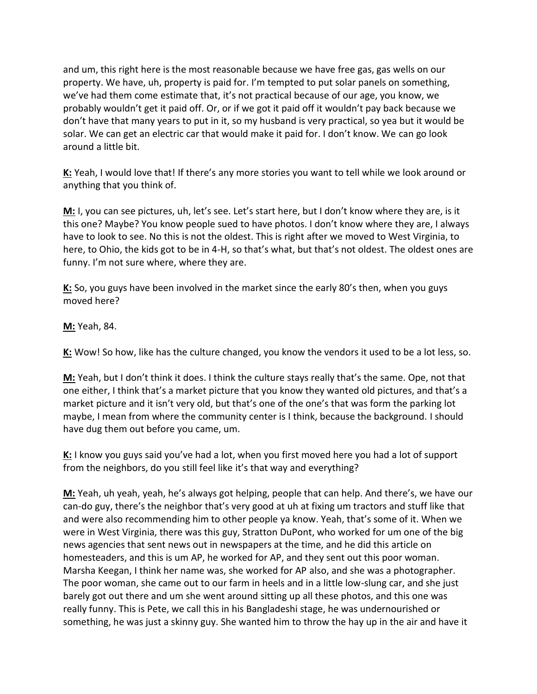and um, this right here is the most reasonable because we have free gas, gas wells on our property. We have, uh, property is paid for. I'm tempted to put solar panels on something, we've had them come estimate that, it's not practical because of our age, you know, we probably wouldn't get it paid off. Or, or if we got it paid off it wouldn't pay back because we don't have that many years to put in it, so my husband is very practical, so yea but it would be solar. We can get an electric car that would make it paid for. I don't know. We can go look around a little bit.

**K:** Yeah, I would love that! If there's any more stories you want to tell while we look around or anything that you think of.

**M:** I, you can see pictures, uh, let's see. Let's start here, but I don't know where they are, is it this one? Maybe? You know people sued to have photos. I don't know where they are, I always have to look to see. No this is not the oldest. This is right after we moved to West Virginia, to here, to Ohio, the kids got to be in 4-H, so that's what, but that's not oldest. The oldest ones are funny. I'm not sure where, where they are.

**K:** So, you guys have been involved in the market since the early 80's then, when you guys moved here?

**M:** Yeah, 84.

**K:** Wow! So how, like has the culture changed, you know the vendors it used to be a lot less, so.

**M:** Yeah, but I don't think it does. I think the culture stays really that's the same. Ope, not that one either, I think that's a market picture that you know they wanted old pictures, and that's a market picture and it isn't very old, but that's one of the one's that was form the parking lot maybe, I mean from where the community center is I think, because the background. I should have dug them out before you came, um.

**K:** I know you guys said you've had a lot, when you first moved here you had a lot of support from the neighbors, do you still feel like it's that way and everything?

**M:** Yeah, uh yeah, yeah, he's always got helping, people that can help. And there's, we have our can-do guy, there's the neighbor that's very good at uh at fixing um tractors and stuff like that and were also recommending him to other people ya know. Yeah, that's some of it. When we were in West Virginia, there was this guy, Stratton DuPont, who worked for um one of the big news agencies that sent news out in newspapers at the time, and he did this article on homesteaders, and this is um AP, he worked for AP, and they sent out this poor woman. Marsha Keegan, I think her name was, she worked for AP also, and she was a photographer. The poor woman, she came out to our farm in heels and in a little low-slung car, and she just barely got out there and um she went around sitting up all these photos, and this one was really funny. This is Pete, we call this in his Bangladeshi stage, he was undernourished or something, he was just a skinny guy. She wanted him to throw the hay up in the air and have it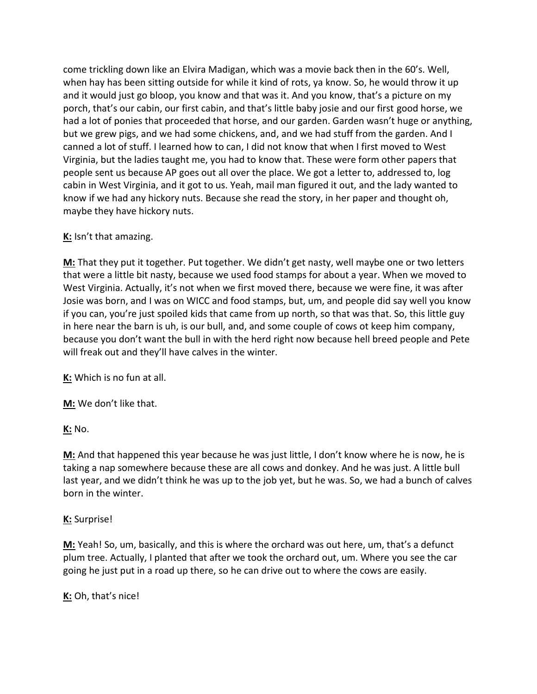come trickling down like an Elvira Madigan, which was a movie back then in the 60's. Well, when hay has been sitting outside for while it kind of rots, ya know. So, he would throw it up and it would just go bloop, you know and that was it. And you know, that's a picture on my porch, that's our cabin, our first cabin, and that's little baby josie and our first good horse, we had a lot of ponies that proceeded that horse, and our garden. Garden wasn't huge or anything, but we grew pigs, and we had some chickens, and, and we had stuff from the garden. And I canned a lot of stuff. I learned how to can, I did not know that when I first moved to West Virginia, but the ladies taught me, you had to know that. These were form other papers that people sent us because AP goes out all over the place. We got a letter to, addressed to, log cabin in West Virginia, and it got to us. Yeah, mail man figured it out, and the lady wanted to know if we had any hickory nuts. Because she read the story, in her paper and thought oh, maybe they have hickory nuts.

#### **K:** Isn't that amazing.

**M:** That they put it together. Put together. We didn't get nasty, well maybe one or two letters that were a little bit nasty, because we used food stamps for about a year. When we moved to West Virginia. Actually, it's not when we first moved there, because we were fine, it was after Josie was born, and I was on WICC and food stamps, but, um, and people did say well you know if you can, you're just spoiled kids that came from up north, so that was that. So, this little guy in here near the barn is uh, is our bull, and, and some couple of cows ot keep him company, because you don't want the bull in with the herd right now because hell breed people and Pete will freak out and they'll have calves in the winter.

**K:** Which is no fun at all.

**M:** We don't like that.

**K:** No.

**M:** And that happened this year because he was just little, I don't know where he is now, he is taking a nap somewhere because these are all cows and donkey. And he was just. A little bull last year, and we didn't think he was up to the job yet, but he was. So, we had a bunch of calves born in the winter.

## **K:** Surprise!

**M:** Yeah! So, um, basically, and this is where the orchard was out here, um, that's a defunct plum tree. Actually, I planted that after we took the orchard out, um. Where you see the car going he just put in a road up there, so he can drive out to where the cows are easily.

**K:** Oh, that's nice!